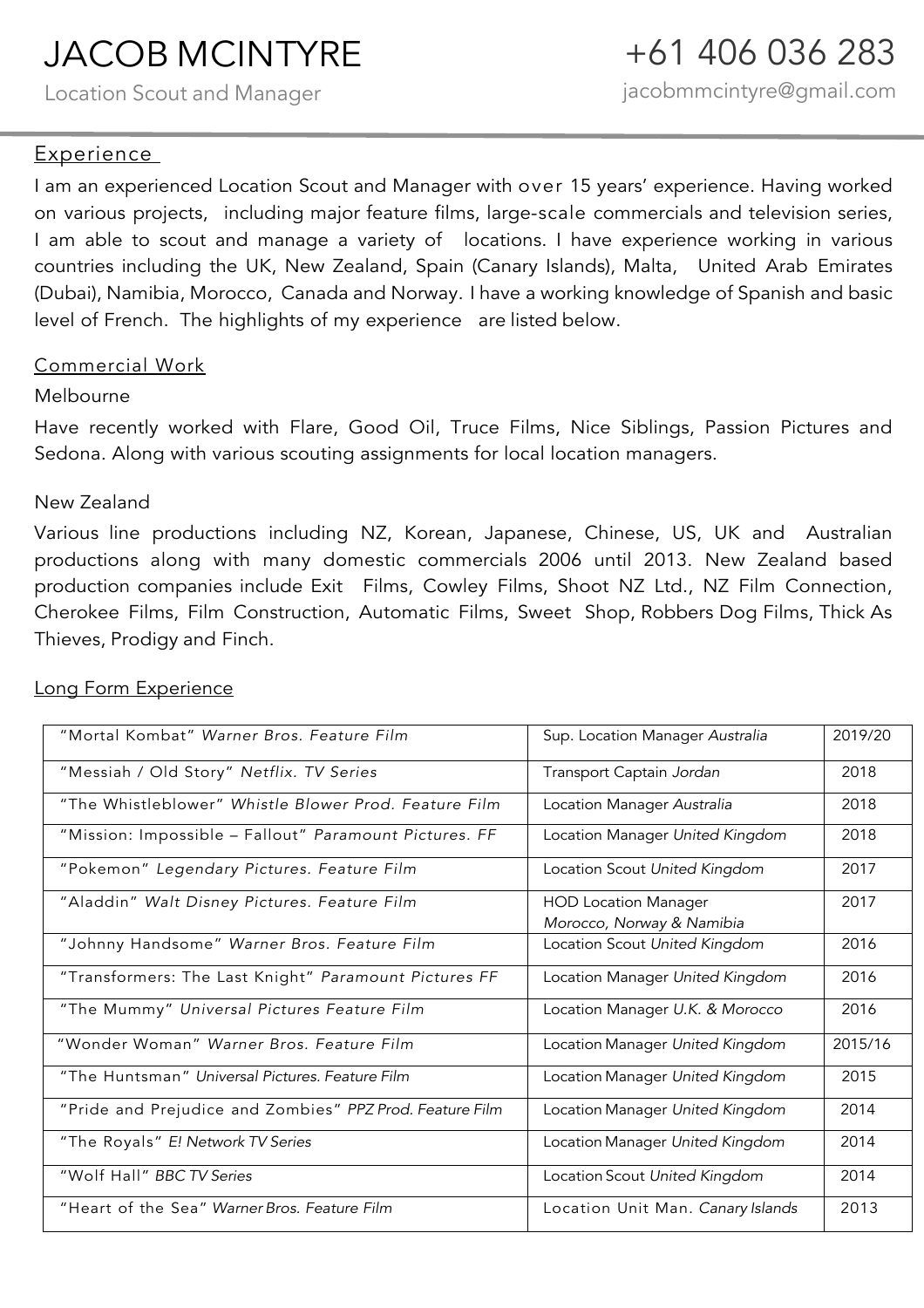## JACOB MCINTYRE

Location Scout and Manager

#### Experience

I am an experienced Location Scout and Manager with over 15 years' experience. Having worked on various projects, including major feature films, large-scale commercials and television series, I am able to scout and manage a variety of locations. I have experience working in various countries including the UK, New Zealand, Spain (Canary Islands), Malta, United Arab Emirates (Dubai), Namibia, Morocco, Canada and Norway. I have a working knowledge of Spanish and basic level of French. The highlights of my experience are listed below.

#### Commercial Work

#### Melbourne

Have recently worked with Flare, Good Oil, Truce Films, Nice Siblings, Passion Pictures and Sedona. Along with various scouting assignments for local location managers.

#### New Zealand

Various line productions including NZ, Korean, Japanese, Chinese, US, UK and Australian productions along with many domestic commercials 2006 until 2013. New Zealand based production companies include Exit Films, Cowley Films, Shoot NZ Ltd., NZ Film Connection, Cherokee Films, Film Construction, Automatic Films, Sweet Shop, Robbers Dog Films, Thick As Thieves, Prodigy and Finch.

### "Mortal Kombat" *Warner Bros. Feature Film* Sup. Location Manager *Australia* 2019/20 "Messiah / Old Story" *Netflix. TV Series* Transport Captain *Jordan* 2018 "The Whistleblower" *Whistle Blower Prod. Feature Film* Location Manager *Australia* 2018 "Mission: Impossible – Fallout" *Paramount Pictures. FF* Location Manager *United Kingdom* 2018 "Pokemon" *Legendary Pictures. Feature Film* Location Scout *United Kingdom* 2017 "Aladdin" *Walt Disney Pictures. Feature Film* HOD Location Manager *Morocco, Norway & Namibia* 2017 "Johnny Handsome" *Warner Bros. Feature Film* Location Scout *United Kingdom* 2016 "Transformers: The Last Knight" *Paramount Pictures FF* Location Manager *United Kingdom* 2016 "The Mummy" *Universal Pictures Feature Film* Location Manager *U.K. & Morocco* 2016 "Wonder Woman" *Warner Bros. Feature Film* Location Manager *United Kingdom* 2015/16 "The Huntsman" *Universal Pictures. Feature Film* Location Manager *United Kingdom* 2015 "Pride and Prejudice and Zombies" *PPZ Prod. Feature Film* Location Manager *United Kingdom* 2014 "The Royals" *E! Network TV Series* Location Manager *United Kingdom* 2014 "Wolf Hall" *BBC TV Series* Location Scout *United Kingdom* 2014 "Heart of the Sea" *Warner Bros. Feature Film* Location Unit Man. *Canary Islands* 2013

#### Long Form Experience